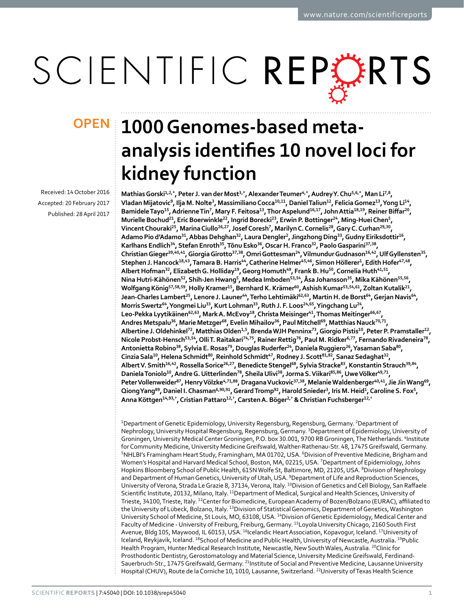# SCIENTIFIC REPERTS

Received: 14 October 2016 accepted: 20 February 2017 Published: 28 April 2017

## **1000 Genomes-based meta-OPENanalysis identifies 10 novel loci for kidney function**

Mathias Gorski<sup>1,2,\*</sup>, Peter J. van der Most<sup>3,\*</sup>, Alexander Teumer<sup>4,\*</sup>, Audrey Y. Chu<sup>5,6,\*</sup>, Man Li<sup>7,8</sup>, **Vladan Mijatovic9 , Ilja M. Nolte3 , MassimilianoCocca10,11, DanielTaliun12, FeliciaGomez13, Yong Li14, BamideleTayo15, AdrienneTin7 , Mary F. Feitosa13, ThorAspelund16,17, JohnAttia18,19, Reiner Biffar20, Murielle Bochud21, Eric Boerwinkle22, Ingrid Borecki23, Erwin P. Bottinger24, Ming-HueiChen5 , VincentChouraki25, MarinaCiullo26,27, JosefCoresh7 , MarilynC.Cornelis28, GaryC.Curhan29,30, Adamo Pio d'Adamo31, AbbasDehghan32, LauraDengler2 , JingzhongDing33, Gudny Eiriksdottir16, Karlhans Endlich34, Stefan Enroth35, Tõnu Esko36, OscarH. Franco32, PaoloGasparini37,38, ChristianGieger39,40,41, GiorgiaGirotto37,38, OmriGottesman24, VilmundurGudnason16,42, UlfGyllensten35, Stephen J.Hancock18,43, Tamara B.Harris44, CatherineHelmer45,46, SimonHöllerer1 , EdithHofer47,48,**  Albert Hofman<sup>32</sup>, Elizabeth G. Holliday<sup>19</sup>, Georg Homuth<sup>49</sup>, Frank B. Hu<sup>50</sup>, Cornelia Huth<sup>41,51</sup>, **NinaHutri-Kähönen52, Shih-JenHwang5 , Medea Imboden53,54, Åsa Johansson35, Mika Kähönen55,56, Wolfgang König57,58,59, Holly Kramer15, Bernhard K. Krämer60, Ashish Kumar53,54,61, Zoltan Kutalik21, Jean-Charles Lambert25, Lenore J. Launer44, Terho Lehtimäki62,63, Martin H. de Borst64, Gerjan Navis64, MorrisSwertz64, Yongmei Liu33, Kurt Lohman33, Ruth J. F. Loos24,65, Yingchang Lu24, Leo-Pekka Lyytikäinen62,63, MarkA. McEvoy18, Christa Meisinger41, Thomas Meitinger66,67, Andres Metspalu36, Marie Metzger68, Evelin Mihailov36, Paul Mitchell69, Matthias Nauck70,71, Albertine J.Oldehinkel72, MatthiasOlden1,<sup>5</sup> , BrendaWJH Penninx73, Giorgio Pistis10, Peter P. Pramstaller12, Nicole Probst-Hensch53,54, OlliT. Raitakari74,75, Rainer Rettig76, Paul M. Ridker6,77, Fernando Rivadeneira78, Antonietta Robino38, Sylvia E. Rosas79, Douglas Ruderfer24, Daniela Ruggiero26, YasamanSaba80, CinziaSala10, HelenaSchmidt80, ReinholdSchmidt47, Rodney J.Scott81,82, SanazSedaghat32,**  Albert V. Smith<sup>16,42</sup>, Rossella Sorice<sup>26,27</sup>, Benedicte Stengel<sup>68</sup>, Sylvia Stracke<sup>83</sup>, Konstantin Strauch<sup>39,84</sup>, Daniela Toniolo<sup>10</sup>, Andre G. Uitterlinden<sup>78</sup>, Sheila Ulivi<sup>38</sup>, Jorma S. Viikari<sup>85,86</sup>, Uwe Völker<sup>49,71</sup>, Peter Vollenweider<sup>87</sup>, Henry Völzke<sup>4,71,88</sup>, Dragana Vuckovic<sup>37,38</sup>, Melanie Waldenberger<sup>40,41</sup>, Jie Jin Wang<sup>69</sup>, **QiongYang89, Daniel I.Chasman6,90,91, GerardTromp92, HaroldSnieder3 , Iris M.Heid1 , CarolineS. Fox5 , Anna Köttgen14,93,† , Cristian Pattaro12,† , CarstenA. Böger2,† & Christian Fuchsberger12,†**

<sup>1</sup>Department of Genetic Epidemiology, University Regensburg, Regensburg, Germany. <sup>2</sup>Department of Nephrology, University Hospital Regensburg, Regensburg, Germany. <sup>3</sup>Department of Epidemiology, University of Groningen, University Medical Center Groningen, P.O. box 30.001, 9700 RB Groningen, The Netherlands. <sup>4</sup>Institute for Community Medicine, University Medicine Greifswald, Walther-Rathenau-Str. 48, 17475 Greifswald, Germany. 5 NHLBI's Framingham Heart Study, Framingham, MA 01702, USA. 6 Division of Preventive Medicine, Brigham and Women's Hospital and Harvard Medical School, Boston, MA, 02215, USA. <sup>7</sup>Department of Epidemiology, Johns Hopkins Bloomberg School of Public Health, 615N Wolfe St, Baltimore, MD, 21205, USA. <sup>8</sup>Division of Nephrology and Department of Human Genetics, University of Utah, USA. <sup>9</sup>Department of Life and Reproduction Sciences, University of Verona, Strada Le Grazie 8, 37134, Verona, Italy. <sup>10</sup>Division of Genetics and Cell Biology, San Raffaele Scientific Institute, 20132, Milano, Italy. 11Department of Medical, Surgical and Health Sciences, University of Trieste, 34100, Trieste, Italy. 12Center for Biomedicine, European Academy of Bozen/Bolzano (EURAC), affiliated to the University of Lübeck, Bolzano, Italy. 13Division of Statistical Genomics, Department of Genetics, Washington University School of Medicine, St Louis, MO, 63108, USA. <sup>14</sup>Division of Genetic Epidemiology, Medical Center and Faculty of Medicine - University of Freiburg, Freiburg, Germany. 15Loyola University Chicago, 2160 South First Avenue, Bldg 105, Maywood, IL 60153, USA. <sup>16</sup>Icelandic Heart Association, Kopavogur, Iceland. <sup>17</sup>University of Iceland, Reykjavik, Iceland. 18School of Medicine and Public Health, University of Newcastle, Australia. 19Public Health Program, Hunter Medical Research Institute, Newcastle, New South Wales, Australia. 20Clinic for Prosthodontic Dentistry, Gerostomatology and Material Science, University Medicine Greifswald, Ferdinand-Sauerbruch-Str., 17475 Greifswald, Germany. 21Institute of Social and Preventive Medicine, Lausanne University Hospital (CHUV), Route de la Corniche 10, 1010, Lausanne, Switzerland. 22University of Texas Health Science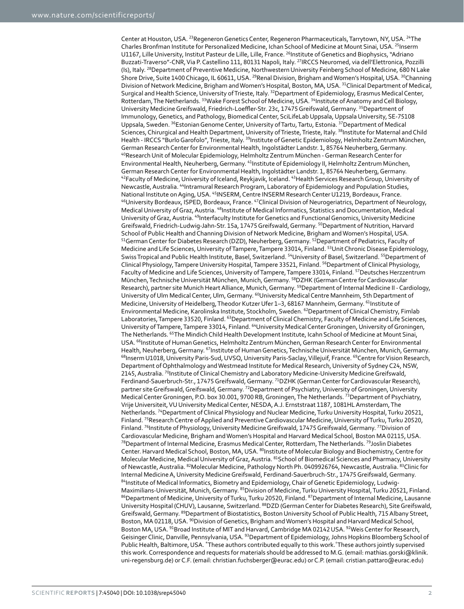Center at Houston, USA. 23Regeneron Genetics Center, Regeneron Pharmaceuticals, Tarrytown, NY, USA. 24The Charles Bronfman Institute for Personalized Medicine, Ichan School of Medicine at Mount Sinai, USA. 25Inserm U1167, Lille University, Institut Pasteur de Lille, Lille, France. <sup>26</sup>Institute of Genetics and Biophysics, "Adriano Buzzati-Traverso"-CNR, Via P. Castellino 111, 80131 Napoli, Italy. <sup>27</sup>IRCCS Neuromed, via dell'Elettronica, Pozzilli (Is), Italy. <sup>28</sup>Department of Preventive Medicine, Northwestern University Feinberg School of Medicine, 680 N Lake Shore Drive, Suite 1400 Chicago, IL 60611, USA. <sup>29</sup>Renal Division, Brigham and Women's Hospital, USA. <sup>30</sup>Channing Division of Network Medicine, Brigham and Women's Hospital, Boston, MA, USA. 31Clinical Department of Medical, Surgical and Health Science, University of Trieste, Italy. <sup>32</sup>Department of Epidemiology, Erasmus Medical Center, Rotterdam, The Netherlands. 33Wake Forest School of Medicine, USA. 34Institute of Anatomy and Cell Biology, University Medicine Greifswald, Friedrich-Loeffler-Str. 23c, 17475 Greifswald, Germany. 35Department of Immunology, Genetics, and Pathology, Biomedical Center, SciLifeLab Uppsala, Uppsala University, SE-75108 Uppsala, Sweden. 36Estonian Genome Center, University of Tartu, Tartu, Estonia. 37Department of Medical Sciences, Chirurgical and Health Department, University of Trieste, Trieste, Italy. <sup>38</sup>Institute for Maternal and Child Health - IRCCS "Burlo Garofolo", Trieste, Italy. 39Institute of Genetic Epidemiology, Helmholtz Zentrum München, German Research Center for Environmental Health, Ingolstädter Landstr. 1, 85764 Neuherberg, Germany. <sup>40</sup>Research Unit of Molecular Epidemiology, Helmholtz Zentrum München - German Research Center for Environmental Health, Neuherberg, Germany. <sup>41</sup>Institute of Epidemiology II, Helmholtz Zentrum München, German Research Center for Environmental Health, Ingolstädter Landstr. 1, 85764 Neuherberg, Germany. 42Faculty of Medicine, University of Iceland, Reykjavik, Iceland. 43Health Services Research Group, University of Newcastle, Australia. 44Intramural Research Program, Laboratory of Epidemiology and Population Studies, National Institute on Aging, USA. <sup>45</sup>INSERM, Centre INSERM Research Center U1219, Bordeaux, France.<br><sup>46</sup>University Bordeaux, ISPED, Bordeaux, France. <sup>47</sup>Clinical Division of Neurogeriatrics, Department of Neurology, Medical University of Graz, Austria. 48Institute of Medical Informatics, Statistics and Documentation, Medical University of Graz, Austria. 49Interfaculty Institute for Genetics and Functional Genomics, University Medicine Greifswald, Friedrich-Ludwig-Jahn-Str. 15a, 17475 Greifswald, Germany. <sup>50</sup>Department of Nutrition, Harvard School of Public Health and Channing Division of Network Medicine, Brigham and Women's Hospital, USA. 51German Center for Diabetes Research (DZD), Neuherberg, Germany. 52Department of Pediatrics, Faculty of Medicine and Life Sciences, University of Tampere, Tampere 33014, Finland. 53Unit Chronic Disease Epidemiology, Swiss Tropical and Public Health Institute, Basel, Switzerland. 54University of Basel, Switzerland. 55Department of Clinical Physiology, Tampere University Hospital, Tampere 33521, Finland. 56Department of Clinical Physiology, Faculty of Medicine and Life Sciences, University of Tampere, Tampere 33014, Finland. 57Deutsches Herzzentrum München, Technische Universität München, Munich, Germany. 58DZHK (German Centre for Cardiovascular Research), partner site Munich Heart Alliance, Munich, Germany. <sup>59</sup>Department of Internal Medicine II - Cardiology, University of Ulm Medical Center, Ulm, Germany. 60University Medical Centre Mannheim, 5th Department of Medicine, University of Heidelberg, Theodor Kutzer Ufer 1-3, 68167 Mannheim, Germany. <sup>61</sup>Institute of Environmental Medicine, Karolinska Institute, Stockholm, Sweden. <sup>62</sup>Department of Clinical Chemistry, Fimlab Laboratories, Tampere 33520, Finland. <sup>63</sup>Department of Clinical Chemistry, Faculty of Medicine and Life Sciences, University of Tampere, Tampere 33014, Finland. 64University Medical Center Groningen, University of Groningen, The Netherlands. 65The Mindich Child Health Development Institute, Icahn School of Medicine at Mount Sinai, USA. 66Institute of Human Genetics, Helmholtz Zentrum München, German Research Center for Environmental Health, Neuherberg, Germany. <sup>67</sup>Institute of Human Genetics, Technische Universität München, Munich, Germany.<br><sup>68</sup>Inserm U1018, University Paris-Sud, UVSQ, University Paris-Saclay, Villejuif, France. <sup>69</sup>Centre for Vision Department of Ophthalmology and Westmead Institute for Medical Research, University of Sydney C24, NSW, 2145, Australia. <sup>70</sup>Institute of Clinical Chemistry and Laboratory Medicine-University Medicine Greifswald, Ferdinand-Sauerbruch-Str., 17475 Greifswald, Germany. 71DZHK (German Center for Cardiovascular Research), partner site Greifswald, Greifswald, Germany. <sup>72</sup>Department of Psychiatry, University of Groningen, University Medical Center Groningen, P.O. box 30.001, 9700 RB, Groningen, The Netherlands. <sup>73</sup>Department of Psychiatry, Vrije Universiteit, VU University Medical Center, NESDA, A.J. Ernststraat 1187, 1081HL Amsterdam, The Netherlands. 74Department of Clinical Physiology and Nuclear Medicine, Turku University Hospital, Turku 20521, Finland. 75Research Centre of Applied and Preventive Cardiovascular Medicine, University of Turku, Turku 20520, Finland. <sup>76</sup>Institute of Physiology, University Medicine Greifswald, 17475 Greifswald, Germany. <sup>77</sup> Division of Cardiovascular Medicine, Brigham and Women's Hospital and Harvard Medical School, Boston MA 02115, USA. <sup>78</sup>Department of Internal Medicine, Erasmus Medical Center, Rotterdam, The Netherlands. <sup>79</sup>Joslin Diabetes Center. Harvard Medical School, Boston, MA, USA. <sup>80</sup>Institute of Molecular Biology and Biochemistry, Centre for Molecular Medicine, Medical University of Graz, Austria. 81School of Biomedical Sciences and Pharmacy, University of Newcastle, Australia. 82Molecular Medicine, Pathology North Ph. 0409926764, Newcastle, Australia. 83Clinic for Internal Medicine A, University Medicine Greifswald, Ferdinand-Sauerbruch-Str., 17475 Greifswald, Germany. 84Institute of Medical Informatics, Biometry and Epidemiology, Chair of Genetic Epidemiology, Ludwig-Maximilians-Universität, Munich, Germany. <sup>85</sup>Division of Medicine, Turku University Hospital, Turku 20521, Finland.<br><sup>86</sup>Department of Medicine, University of Turku, Turku 20520, Finland. <sup>87</sup>Department of Internal Medicin University Hospital (CHUV), Lausanne, Switzerland. 88DZD (German Center for Diabetes Research), Site Greifswald, Greifswald, Germany. 89Department of Biostatistics, Boston University School of Public Health, 715 Albany Street, Boston, MA 02118, USA. <sup>90</sup>Division of Genetics, Brigham and Women's Hospital and Harvard Medical School, Boston MA, USA. <sup>91</sup>Broad Institute of MIT and Harvard, Cambridge MA 02142 USA. <sup>92</sup>Weis Center for Research, Geisinger Clinic, Danville, Pennsylvania, USA. 93Department of Epidemiology, Johns Hopkins Bloomberg School of Public Health, Baltimore, USA. \*These authors contributed equally to this work.† These authors jointly supervised this work. Correspondence and requests for materials should be addressed to M.G. (email: [mathias.gorski@klinik.](mailto:mathias.gorski@klinik.uni-regensburg.de) [uni-regensburg.de](mailto:mathias.gorski@klinik.uni-regensburg.de)) or C.F. (email: [christian.fuchsberger@eurac.edu\)](mailto:christian.fuchsberger@eurac.edu) or C.P. (email: [cristian.pattaro@eurac.edu](mailto:cristian.pattaro@eurac.edu))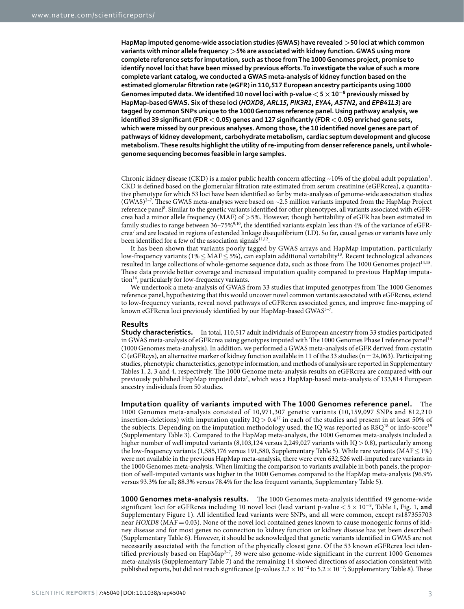**HapMap imputed genome-wide association studies (GWAS) have revealed >50 loci at which common variants with minor allele frequency >5% are associated with kidney function. GWAS using more complete reference sets for imputation, such as those from The 1000 Genomes project, promise to identify novel loci that have been missed by previous efforts. To investigate the value of such a more complete variant catalog, we conducted a GWAS meta-analysis of kidney function based on the estimated glomerular filtration rate (eGFR) in 110,517 European ancestry participants using 1000 Genomes imputed data. We identified 10 novel loci with p-value<5×10<sup>−</sup>8 previously missed by HapMap-based GWAS. Six of these loci (***HOXD8***,** *ARL15***,** *PIK3R1***,** *EYA4***,** *ASTN2***, and** *EPB41L3***) are tagged by common SNPs unique to the 1000 Genomes reference panel. Using pathway analysis, we identified 39 significant (FDR<0.05) genes and 127 significantly (FDR<0.05) enriched gene sets, which were missed by our previous analyses. Among those, the 10 identified novel genes are part of pathways of kidney development, carbohydrate metabolism, cardiac septum development and glucose metabolism. These results highlight the utility of re-imputing from denser reference panels, until wholegenome sequencing becomes feasible in large samples.**

Chronic kidney disease (CKD) is a major public health concern affecting ~[1](#page-7-0)0% of the global adult population<sup>1</sup>. CKD is defined based on the glomerular filtration rate estimated from serum creatinine (eGFRcrea), a quantitative phenotype for which 53 loci have been identified so far by meta-analyses of genome-wide association studies  $(GWAS)^{2-7}$ . These GWAS meta-analyses were based on  $\sim$  2.5 million variants imputed from the HapMap Project reference panel<sup>8</sup>. Similar to the genetic variants identified for other phenotypes, all variants associated with eGFRcrea had a minor allele frequency (MAF) of >5%. However, though heritability of eGFR has been estimated in family studies to range between  $36-75\%$ <sup>9,10</sup>, the identified variants explain less than 4% of the variance of eGFRcre[a7](#page-7-3) and are located in regions of extended linkage disequilibrium (LD). So far, causal genes or variants have only been identified for a few of the association signals<sup>[11](#page-7-4),[12](#page-7-5)</sup>.

It has been shown that variants poorly tagged by GWAS arrays and HapMap imputation, particularly low-frequency variants (1%≤ MAF≤ 5%), can explain additional variabilit[y13](#page-7-6). Recent technological advances resulted in large collections of whole-genome sequence data, such as those from The 1000 Genomes project<sup>[14](#page-7-7),[15](#page-7-8)</sup>. These data provide better coverage and increased imputation quality compared to previous HapMap imputation<sup>16</sup>, particularly for low-frequency variants.

We undertook a meta-analysis of GWAS from 33 studies that imputed genotypes from The 1000 Genomes reference panel, hypothesizing that this would uncover novel common variants associated with eGFRcrea, extend to low-frequency variants, reveal novel pathways of eGFRcrea associated genes, and improve fine-mapping of known eGFRcrea loci previously identified by our HapMap-based GWAS<sup>3-7</sup>.

### **Results**

**Study characteristics.** In total, 110,517 adult individuals of European ancestry from 33 studies participated in GWAS meta-analysis of eGFRcrea using genotypes imputed with The 1000 Genomes Phase I reference panel<sup>[14](#page-7-7)</sup> (1000 Genomes meta-analysis). In addition, we performed a GWAS meta-analysis of eGFR derived from cystatin C (eGFRcys), an alternative marker of kidney function available in 11 of the 33 studies ( $n= 24,063$ ). Participating studies, phenotypic characteristics, genotype information, and methods of analysis are reported in Supplementary Tables 1, 2, 3 and 4, respectively. The 1000 Genome meta-analysis results on eGFRcrea are compared with our previously published HapMap imputed data<sup>[7](#page-7-3)</sup>, which was a HapMap-based meta-analysis of 133,814 European ancestry individuals from 50 studies.

**Imputation quality of variants imputed with The 1000 Genomes reference panel.** The 1000 Genomes meta-analysis consisted of 10,971,307 genetic variants (10,159,097 SNPs and 812,210 insertion-deletions) with imputation quality  $IQ > 0.4^{17}$  $IQ > 0.4^{17}$  $IQ > 0.4^{17}$  in each of the studies and present in at least 50% of the subjects. Depending on the imputation methodology used, the IQ was reported as  $\text{RSQ}^{18}$  or info-score<sup>[19](#page-8-0)</sup> (Supplementary Table 3). Compared to the HapMap meta-analysis, the 1000 Genomes meta-analysis included a higher number of well imputed variants (8,103,124 versus 2,249,027 variants with IQ > 0.8), particularly among the low-frequency variants (1,585,176 versus 191,580, Supplementary Table 5). While rare variants (MAF≤1%) were not available in the previous HapMap meta-analysis, there were even 632,526 well-imputed rare variants in the 1000 Genomes meta-analysis. When limiting the comparison to variants available in both panels, the proportion of well-imputed variants was higher in the 1000 Genomes compared to the HapMap meta-analysis (96.9% versus 93.3% for all; 88.3% versus 78.4% for the less frequent variants, Supplementary Table 5).

**1000 Genomes meta-analysis results.** The 1000 Genomes meta-analysis identified 49 genome-wide significant loci for eGFRcrea including 10 novel loci (lead variant p-value < 5 × 10<sup>−</sup><sup>8</sup> , [Table 1](#page-3-0), [Fig. 1](#page-4-0), **and** Supplementary Figure 1). All identified lead variants were SNPs, and all were common, except rs187355703 near *HOXD8* (MAF = 0.03). None of the novel loci contained genes known to cause monogenic forms of kidney disease and for most genes no connection to kidney function or kidney disease has yet been described (Supplementary Table 6). However, it should be acknowledged that genetic variants identified in GWAS are not necessarily associated with the function of the physically closest gene. Of the 53 known eGFRcrea loci identified previously based on  $\text{HapMap}^{2-7}$ , 39 were also genome-wide significant in the current 1000 Genomes meta-analysis (Supplementary Table 7) and the remaining 14 showed directions of association consistent with published reports, but did not reach significance (p-values 2.2 × 10<sup>-2</sup> to 5.2 × 10<sup>-7</sup>; Supplementary Table 8). These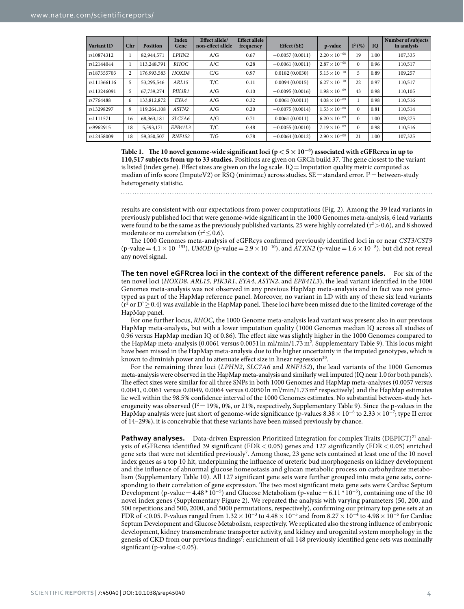<span id="page-3-0"></span>

| <b>Variant ID</b> | $_{\rm Chr}$   | <b>Position</b> | Index<br>Gene | <b>Effect allele/</b><br>non-effect allele | Effect allele<br>frequency | Effect (SE)       | p-value                | $I^2(%)$ | IQ   | Number of subjects<br>in analysis |
|-------------------|----------------|-----------------|---------------|--------------------------------------------|----------------------------|-------------------|------------------------|----------|------|-----------------------------------|
| rs10874312        |                | 82,944,571      | LPHN2         | A/G                                        | 0.67                       | $-0.0057(0.0011)$ | $2.20 \times 10^{-08}$ | 19       | 1.00 | 107,335                           |
| rs12144044        | $\overline{1}$ | 113,248,791     | <b>RHOC</b>   | A/C                                        | 0.28                       | $-0.0061(0.0011)$ | $2.87 \times 10^{-08}$ | $\Omega$ | 0.96 | 110,517                           |
| rs187355703       | $\overline{2}$ | 176,993,583     | HOXD8         | C/G                                        | 0.97                       | 0.0182(0.0030)    | $5.15 \times 10^{-10}$ | 5        | 0.89 | 109,257                           |
| rs111366116       | 5              | 53,295,546      | <b>ARL15</b>  | T/C                                        | 0.11                       | 0.0094(0.0015)    | $6.27 \times 10^{-10}$ | 22       | 0.97 | 110,517                           |
| rs113246091       | 5              | 67,739,274      | PIK3R1        | A/G                                        | 0.10                       | $-0.0095(0.0016)$ | $1.98 \times 10^{-09}$ | 43       | 0.98 | 110,105                           |
| rs7764488         | 6              | 133,812,872     | EYA4          | A/G                                        | 0.32                       | 0.0061(0.0011)    | $4.08 \times 10^{-09}$ |          | 0.98 | 110,516                           |
| rs13298297        | 9              | 119,264,108     | ASTN2         | A/G                                        | 0.20                       | $-0.0075(0.0014)$ | $1.53 \times 10^{-08}$ | $\Omega$ | 0.81 | 110,514                           |
| rs1111571         | 16             | 68, 363, 181    | SLC7A6        | A/G                                        | 0.71                       | 0.0061(0.0011)    | $6.20 \times 10^{-09}$ | $\Omega$ | 1.00 | 109,275                           |
| rs9962915         | 18             | 5,593,171       | EPB41L3       | T/C                                        | 0.48                       | $-0.0055(0.0010)$ | $7.19 \times 10^{-09}$ | $\Omega$ | 0.98 | 110,516                           |
| rs12458009        | 18             | 59,350,507      | <b>RNF152</b> | T/G                                        | 0.78                       | $-0.0064(0.0012)$ | $2.90 \times 10^{-08}$ | 21       | 1.00 | 107,325                           |

**Table 1.** The 10 novel genome-wide significant loci ( $p < 5 \times 10^{-8}$ ) associated with eGFRcrea in up to **110,517 subjects from up to 33 studies.** Positions are given on GRCh build 37. The gene closest to the variant is listed (index gene). Effect sizes are given on the  $log scale$ .  $IQ = Imputation$  quality metric computed as median of info score (ImputeV2) or RSQ (minimac) across studies.  $SE =$  standard error. I<sup>2</sup> = between-study heterogeneity statistic.

results are consistent with our expectations from power computations ([Fig. 2](#page-4-1)). Among the 39 lead variants in previously published loci that were genome-wide significant in the 1000 Genomes meta-analysis, 6 lead variants were found to be the same as the previously published variants, 25 were highly correlated ( $r^2 > 0.6$ ), and 8 showed moderate or no correlation ( $r^2 \le 0.6$ ).

The 1000 Genomes meta-analysis of eGFRcys confirmed previously identified loci in or near *CST3/CST9*  $(p-value = 4.1 \times 10^{-153})$ , *UMOD* (p-value = 2.9 × 10<sup>-10</sup>), and *ATXN2* (p-value = 1.6 × 10<sup>-8</sup>), but did not reveal any novel signal.

**The ten novel eGFRcrea loci in the context of the different reference panels.** For six of the ten novel loci (*HOXD8*, *ARL15*, *PIK3R1*, *EYA4*, *ASTN2*, and *EPB41L3*), the lead variant identified in the 1000 Genomes meta-analysis was not observed in any previous HapMap meta-analysis and in fact was not genotyped as part of the HapMap reference panel. Moreover, no variant in LD with any of these six lead variants  $(r^2$  or  $D' \ge 0.4$ ) was available in the HapMap panel. These loci have been missed due to the limited coverage of the HapMap panel.

For one further locus, *RHOC*, the 1000 Genome meta-analysis lead variant was present also in our previous HapMap meta-analysis, but with a lower imputation quality (1000 Genomes median IQ across all studies of 0.96 versus HapMap median IQ of 0.86). The effect size was slightly higher in the 1000 Genomes compared to the HapMap meta-analysis (0.0061 versus 0.0051 ln ml/min/1.73 m<sup>2</sup>, Supplementary Table 9). This locus might have been missed in the HapMap meta-analysis due to the higher uncertainty in the imputed genotypes, which is known to diminish power and to attenuate effect size in linear regression<sup>20</sup>.

For the remaining three loci (*LPHN2*, *SLC7A6* and *RNF152*), the lead variants of the 1000 Genomes meta-analysis were observed in the HapMap meta-analysis and similarly well imputed (IQ near 1.0 for both panels). The effect sizes were similar for all three SNPs in both 1000 Genomes and HapMap meta-analyses (0.0057 versus 0.0041, 0.0061 versus 0.0049, 0.0064 versus 0.0050 ln ml/min/1.73 m<sup>2</sup> respectively) and the HapMap estimates lie well within the 98.5% confidence interval of the 1000 Genomes estimates. No substantial between-study heterogeneity was observed ( $I^2 = 19\%$ , 0%, or 21%, respectively, Supplementary Table 9). Since the p-values in the HapMap analysis were just short of genome-wide significance (p-values  $8.38\times10^{-6}$  to  $2.33\times10^{-7}$ ; type II error of 14–29%), it is conceivable that these variants have been missed previously by chance.

**Pathway analyses.** Data-driven Expression Prioritized Integration for complex Traits (DEPICT)<sup>[21](#page-8-1)</sup> analysis of eGFRcrea identified 39 significant (FDR < 0.05) genes and 127 significantly (FDR < 0.05) enriched gene sets that were not identified previously<sup>7</sup>. Among those, 23 gene sets contained at least one of the 10 novel index genes as a top 10 hit, underpinning the influence of ureteric bud morphogenesis on kidney development and the influence of abnormal glucose homeostasis and glucan metabolic process on carbohydrate metabolism (Supplementary Table 10). All 127 significant gene sets were further grouped into meta gene sets, corresponding to their correlation of gene expression. The two most significant meta gene sets were Cardiac Septum Development (p-value = 4.48 \* 10<sup>-5</sup>) and Glucose Metabolism (p-value = 6.11 \* 10<sup>-5</sup>), containing one of the 10 novel index genes (Supplementary Figure 2). We repeated the analysis with varying parameters (50, 200, and 500 repetitions and 500, 2000, and 5000 permutations, respectively), confirming our primary top gene sets at an FDR of <0.05. P-values ranged from  $1.32 \times 10^{-3}$  to  $4.48 \times 10^{-5}$  and from  $8.27 \times 10^{-4}$  to  $4.98 \times 10^{-5}$  for Cardiac Septum Development and Glucose Metabolism, respectively. We replicated also the strong influence of embryonic development, kidney transmembrane transporter activity, and kidney and urogenital system morphology in the genesis of CKD from our previous findings<sup>7</sup>: enrichment of all 148 previously identified gene sets was nominally significant (p-value  $< 0.05$ ).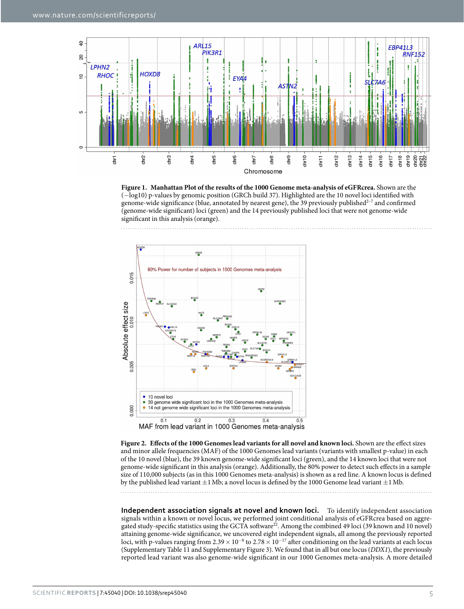

<span id="page-4-0"></span>**Figure 1. Manhattan Plot of the results of the 1000 Genome meta-analysis of eGFRcrea.** Shown are the (−log10) p-values by genomic position (GRCh build 37). Highlighted are the 10 novel loci identified with genome-wide significance (blue, annotated by nearest gene), the 39 previously published<sup>2-7</sup> and confirmed (genome-wide significant) loci (green) and the 14 previously published loci that were not genome-wide significant in this analysis (orange).



<span id="page-4-1"></span>**Figure 2. Effects of the 1000 Genomes lead variants for all novel and known loci.** Shown are the effect sizes and minor allele frequencies (MAF) of the 1000 Genomes lead variants (variants with smallest p-value) in each of the 10 novel (blue), the 39 known genome-wide significant loci (green), and the 14 known loci that were not genome-wide significant in this analysis (orange). Additionally, the 80% power to detect such effects in a sample size of 110,000 subjects (as in this 1000 Genomes meta-analysis) is shown as a red line. A known locus is defined by the published lead variant  $\pm 1$  Mb; a novel locus is defined by the 1000 Genome lead variant  $\pm 1$  Mb.

**Independent association signals at novel and known loci.** To identify independent association signals within a known or novel locus, we performed joint conditional analysis of eGFRcrea based on aggre-gated study-specific statistics using the GCTA software<sup>[22](#page-8-2)</sup>. Among the combined 49 loci (39 known and 10 novel) attaining genome-wide significance, we uncovered eight independent signals, all among the previously reported loci, with p-values ranging from 2.39  $\times$  10 $^{-8}$  to 2.78  $\times$  10 $^{-17}$  after conditioning on the lead variants at each locus (Supplementary Table 11 and Supplementary Figure 3). We found that in all but one locus (*DDX1*), the previously reported lead variant was also genome-wide significant in our 1000 Genomes meta-analysis. A more detailed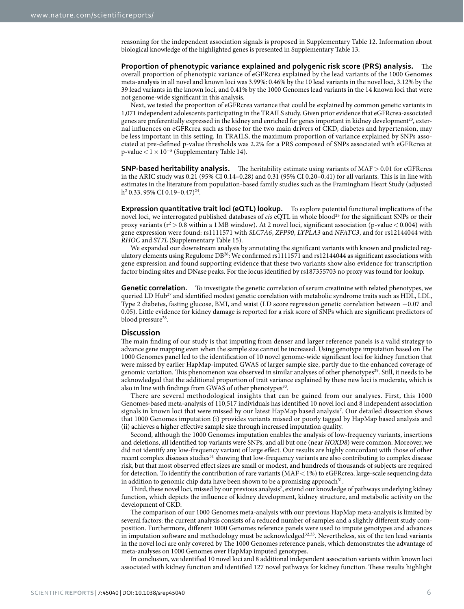reasoning for the independent association signals is proposed in Supplementary Table 12. Information about biological knowledge of the highlighted genes is presented in Supplementary Table 13.

**Proportion of phenotypic variance explained and polygenic risk score (PRS) analysis.** The overall proportion of phenotypic variance of eGFRcrea explained by the lead variants of the 1000 Genomes meta-analysis in all novel and known loci was 3.99%: 0.46% by the 10 lead variants in the novel loci, 3.12% by the 39 lead variants in the known loci, and 0.41% by the 1000 Genomes lead variants in the 14 known loci that were not genome-wide significant in this analysis.

Next, we tested the proportion of eGFRcrea variance that could be explained by common genetic variants in 1,071 independent adolescents participating in the TRAILS study. Given prior evidence that eGFRcrea-associated genes are preferentially expressed in the kidney and enriched for genes important in kidney development<sup>[23](#page-8-3)</sup>, external influences on eGFRcrea such as those for the two main drivers of CKD, diabetes and hypertension, may be less important in this setting. In TRAILS, the maximum proportion of variance explained by SNPs associated at pre-defined p-value thresholds was 2.2% for a PRS composed of SNPs associated with eGFRcrea at p-value  $< 1 \times 10^{-5}$  (Supplementary Table 14).

**SNP-based heritability analysis.** The heritability estimate using variants of MAF> 0.01 for eGFRcrea in the ARIC study was 0.21 (95% CI 0.14–0.28) and 0.31 (95% CI 0.20–0.41) for all variants. This is in line with estimates in the literature from population-based family studies such as the Framingham Heart Study (adjusted  $h^2$  0.33, 95% CI 0.19–0.47)<sup>24</sup>.

**Expression quantitative trait loci (eQTL) lookup.** To explore potential functional implications of the novel loci, we interrogated published databases of *cis* eQTL in whole blood<sup>25</sup> for the significant SNPs or their proxy variants ( $r^2 > 0.8$  within a 1 MB window). At 2 novel loci, significant association (p-value < 0.004) with gene expression were found: rs1111571 with *SLC7A6*, *ZFP90*, *LYPLA3* and *NFATC3*, and for rs12144044 with *RHOC* and *ST7L* (Supplementary Table 15).

We expanded our downstream analysis by annotating the significant variants with known and predicted regulatory elements using Regulome  $DB^{26}$ : We confirmed rs1111571 and rs12144044 as significant associations with gene expression and found supporting evidence that these two variants show also evidence for transcription factor binding sites and DNase peaks. For the locus identified by rs187355703 no proxy was found for lookup.

**Genetic correlation.** To investigate the genetic correlation of serum creatinine with related phenotypes, we queried LD Hub<sup>[27](#page-8-6)</sup> and identified modest genetic correlation with metabolic syndrome traits such as HDL, LDL, Type 2 diabetes, fasting glucose, BMI, and waist (LD score regression genetic correlation between −0.07 and 0.05). Little evidence for kidney damage is reported for a risk score of SNPs which are significant predictors of blood pressure<sup>28</sup>.

#### **Discussion**

The main finding of our study is that imputing from denser and larger reference panels is a valid strategy to advance gene mapping even when the sample size cannot be increased. Using genotype imputation based on The 1000 Genomes panel led to the identification of 10 novel genome-wide significant loci for kidney function that were missed by earlier HapMap-imputed GWAS of larger sample size, partly due to the enhanced coverage of genomic variation. This phenomenon was observed in similar analyses of other phenotypes<sup>29</sup>. Still, it needs to be acknowledged that the additional proportion of trait variance explained by these new loci is moderate, which is also in line with findings from GWAS of other phenotypes<sup>[30](#page-8-9)</sup>.

There are several methodological insights that can be gained from our analyses. First, this 1000 Genomes-based meta-analysis of 110,517 individuals has identified 10 novel loci and 8 independent association signals in known loci that were missed by our latest HapMap based analysis[7](#page-7-3) . Our detailed dissection shows that 1000 Genomes imputation (i) provides variants missed or poorly tagged by HapMap based analysis and (ii) achieves a higher effective sample size through increased imputation quality.

Second, although the 1000 Genomes imputation enables the analysis of low-frequency variants, insertions and deletions, all identified top variants were SNPs, and all but one (near *HOXD8*) were common. Moreover, we did not identify any low-frequency variant of large effect. Our results are highly concordant with those of other recent complex diseases studies<sup>31</sup> showing that low-frequency variants are also contributing to complex disease risk, but that most observed effect sizes are small or modest, and hundreds of thousands of subjects are required for detection. To identify the contribution of rare variants ( $MAF < 1\%$ ) to eGFRcrea, large-scale sequencing data in addition to genomic chip data have been shown to be a promising approach<sup>[31](#page-8-10)</sup>.

Third, these novel loci, missed by our previous analysis<sup>[7](#page-7-3)</sup>, extend our knowledge of pathways underlying kidney function, which depicts the influence of kidney development, kidney structure, and metabolic activity on the development of CKD.

The comparison of our 1000 Genomes meta-analysis with our previous HapMap meta-analysis is limited by several factors: the current analysis consists of a reduced number of samples and a slightly different study composition. Furthermore, different 1000 Genomes reference panels were used to impute genotypes and advances in imputation software and methodology must be acknowledged<sup>32[,33](#page-8-12)</sup>. Nevertheless, six of the ten lead variants in the novel loci are only covered by The 1000 Genomes reference panels, which demonstrates the advantage of meta-analyses on 1000 Genomes over HapMap imputed genotypes.

In conclusion, we identified 10 novel loci and 8 additional independent association variants within known loci associated with kidney function and identified 127 novel pathways for kidney function. These results highlight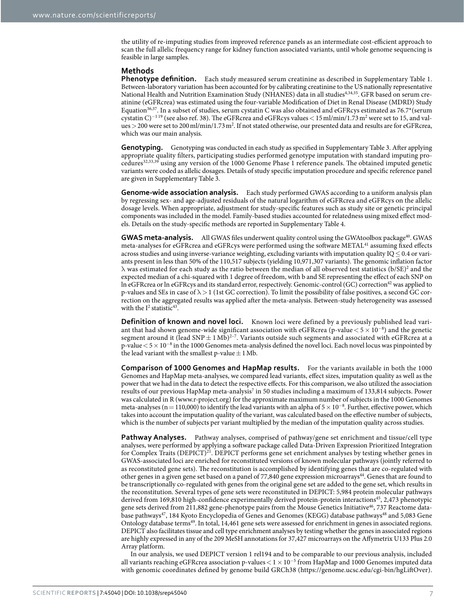the utility of re-imputing studies from improved reference panels as an intermediate cost-efficient approach to scan the full allelic frequency range for kidney function associated variants, until whole genome sequencing is feasible in large samples.

#### **Methods**

**Phenotype definition.** Each study measured serum creatinine as described in Supplementary Table 1. Between-laboratory variation has been accounted for by calibrating creatinine to the US nationally representative National Health and Nutrition Examination Study (NHANES) data in all studies[4](#page-7-14),34,[35](#page-8-13). GFR based on serum creatinine (eGFRcrea) was estimated using the four-variable Modification of Diet in Renal Disease (MDRD) Study Equation[36](#page-8-14),[37](#page-8-15). In a subset of studies, serum cystatin C was also obtained and eGFRcys estimated as 76.7\*(serum cystatin C)<sup>-119</sup> (see also ref. [38\)](#page-8-16). The eGFRcrea and eGFRcys values < 15 ml/min/1.73 m<sup>2</sup> were set to 15, and val $ues > 200$  were set to 200 ml/min/1.73 m<sup>2</sup>. If not stated otherwise, our presented data and results are for eGFRcrea, which was our main analysis.

**Genotyping.** Genotyping was conducted in each study as specified in Supplementary Table 3. After applying appropriate quality filters, participating studies performed genotype imputation with standard imputing procedures[32,](#page-8-11)[33,](#page-8-12)[39](#page-8-17) using any version of the 1000 Genome Phase 1 reference panels. The obtained imputed genetic variants were coded as allelic dosages. Details of study specific imputation procedure and specific reference panel are given in Supplementary Table 3.

**Genome-wide association analysis.** Each study performed GWAS according to a uniform analysis plan by regressing sex- and age-adjusted residuals of the natural logarithm of eGFRcrea and eGFRcys on the allelic dosage levels. When appropriate, adjustment for study-specific features such as study site or genetic principal components was included in the model. Family-based studies accounted for relatedness using mixed effect models. Details on the study-specific methods are reported in Supplementary Table 4.

**GWAS meta-analysis.** All GWAS files underwent quality control using the GWAtoolbox package<sup>[40](#page-8-18)</sup>. GWAS meta-analyses for eGFRcrea and eGFRcys were performed using the software METAL[41](#page-8-19) assuming fixed effects across studies and using inverse-variance weighting, excluding variants with imputation quality IQ≤0.4 or variants present in less than 50% of the 110,517 subjects (yielding 10,971,307 variants). The genomic inflation factor  $\lambda$  was estimated for each study as the ratio between the median of all observed test statistics (b/SE)<sup>[2](#page-7-13)</sup> and the expected median of a chi-squared with 1 degree of freedom, with b and SE representing the effect of each SNP on ln eGFRcrea or ln eGFRcys and its standard error, respectively. Genomic-control (GC) correction<sup>42</sup> was applied to p-values and SEs in case of  $\lambda > 1$  (1st GC correction). To limit the possibility of false positives, a second GC correction on the aggregated results was applied after the meta-analysis. Between-study heterogeneity was assessed with the  $I^2$  statistic<sup>[43](#page-8-20)</sup>.

**Definition of known and novel loci.** Known loci were defined by a previously published lead variant that had shown genome-wide significant association with eGFRcrea (p-value  $<$  5  $\times$  10<sup>-8</sup>) and the genetic segment around it (lead  $SNP \pm 1 \text{ Mb}$ )<sup>2-7</sup>. Variants outside such segments and associated with eGFRcrea at a p-value  $<$  5  $\times$  10<sup>-8</sup> in the 1000 Genomes meta-analysis defined the novel loci. Each novel locus was pinpointed by the lead variant with the smallest p-value  $\pm$  1 Mb.

**Comparison of 1000 Genomes and HapMap results.** For the variants available in both the 1000 Genomes and HapMap meta-analyses, we compared lead variants, effect sizes, imputation quality as well as the power that we had in the data to detect the respective effects. For this comparison, we also utilized the association results of our previous HapMap meta-analysis<sup>7</sup> in 50 studies including a maximum of 133,814 subjects. Power was calculated in R [\(www.r-project.org\)](http://www.r-project.org) for the approximate maximum number of subjects in the 1000 Genomes meta-analyses (n = 110,000) to identify the lead variants with an alpha of  $5 \times 10^{-8}$ . Further, effective power, which takes into account the imputation quality of the variant, was calculated based on the effective number of subjects, which is the number of subjects per variant multiplied by the median of the imputation quality across studies.

Pathway Analyses. Pathway analyses, comprised of pathway/gene set enrichment and tissue/cell type analyses, were performed by applying a software package called Data-Driven Expression Prioritized Integration for Complex Traits (DEPICT)<sup>21</sup>. DEPICT performs gene set enrichment analyses by testing whether genes in GWAS-associated loci are enriched for reconstituted versions of known molecular pathways (jointly referred to as reconstituted gene sets). The reconstitution is accomplished by identifying genes that are co-regulated with other genes in a given gene set based on a panel of 77,840 gene expression microarrays<sup>[44](#page-8-21)</sup>. Genes that are found to be transcriptionally co-regulated with genes from the original gene set are added to the gene set, which results in the reconstitution. Several types of gene sets were reconstituted in DEPICT: 5,984 protein molecular pathways derived from 169,810 high-confidence experimentally derived protein-protein interactions<sup>[45](#page-8-22)</sup>, 2,473 phenotypic gene sets derived from 211,882 gene-phenotype pairs from the Mouse Genetics Initiative46, 737 Reactome data-base pathways<sup>47</sup>, 184 Kyoto Encyclopedia of Genes and Genomes (KEGG) database pathways<sup>[48](#page-8-23)</sup> and 5,083 Gene Ontology database terms<sup>49</sup>. In total, 14,461 gene sets were assessed for enrichment in genes in associated regions. DEPICT also facilitates tissue and cell type enrichment analyses by testing whether the genes in associated regions are highly expressed in any of the 209 MeSH annotations for 37,427 microarrays on the Affymetrix U133 Plus 2.0 Array platform.

In our analysis, we used DEPICT version 1 rel194 and to be comparable to our previous analysis, included all variants reaching eGFRcrea association p-values  $<$  1  $\times$  10<sup>-5</sup> from HapMap and 1000 Genomes imputed data with genomic coordinates defined by genome build GRCh38 (<https://genome.ucsc.edu/cgi-bin/hgLiftOver>).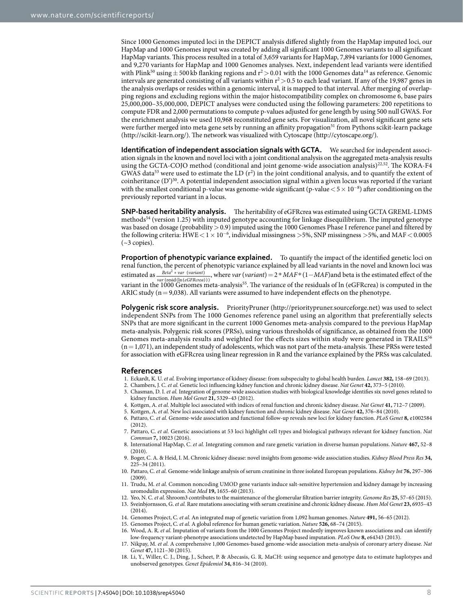Since 1000 Genomes imputed loci in the DEPICT analysis differed slightly from the HapMap imputed loci, our HapMap and 1000 Genomes input was created by adding all significant 1000 Genomes variants to all significant HapMap variants. This process resulted in a total of 3,659 variants for HapMap, 7,894 variants for 1000 Genomes, and 9,270 variants for HapMap and 1000 Genomes analyses. Next, independent lead variants were identified with Plink<sup>50</sup> using  $\pm$  500 kb flanking regions and  $r^2 > 0.01$  with the 1000 Genomes data<sup>14</sup> as reference. Genomic intervals are generated consisting of all variants within  $r^2 > 0.5$  to each lead variant. If any of the 19,987 genes in the analysis overlaps or resides within a genomic interval, it is mapped to that interval. After merging of overlapping regions and excluding regions within the major histocompatibility complex on chromosome 6, base pairs 25,000,000–35,000,000, DEPICT analyses were conducted using the following parameters: 200 repetitions to compute FDR and 2,000 permutations to compute p-values adjusted for gene length by using 500 null GWAS. For the enrichment analysis we used 10,968 reconstituted gene sets. For visualization, all novel significant gene sets were further merged into meta gene sets by running an affinity propagation<sup>51</sup> from Pythons scikit-learn package (<http://scikit-learn.org/>). The network was visualized with Cytoscape (<http://cytoscape.org/>).

**Identification of independent association signals with GCTA.** We searched for independent association signals in the known and novel loci with a joint conditional analysis on the aggregated meta-analysis results using the GCTA-COJO method (conditional and joint genome-wide association analysis)<sup>[22,](#page-8-2)52</sup>. The KORA-F4 GWAS data<sup>53</sup> were used to estimate the LD  $(r^2)$  in the joint conditional analysis, and to quantify the extent of coinheritance  $(D')^{50}$  $(D')^{50}$  $(D')^{50}$ . A potential independent association signal within a given locus was reported if the variant with the smallest conditional p-value was genome-wide significant (p-value  $<$  5  $\times$  10<sup>-8</sup>) after conditioning on the previously reported variant in a locus.

**SNP-based heritability analysis.** The heritability of eGFRcrea was estimated using GCTA GREML-LDMS methods<sup>54</sup> (version 1.25) with imputed genotype accounting for linkage disequilibrium. The imputed genotype was based on dosage (probability > 0.9) imputed using the 1000 Genomes Phase I reference panel and filtered by the following criteria: HWE < 1 × 10<sup>-6</sup>, individual missingness >5%, SNP missingness >5%, and MAF < 0.0005  $({\sim}3$  copies).

**Proportion of phenotypic variance explained.** To quantify the impact of the identified genetic loci on renal function, the percent of phenotypic variance explained by all lead variants in the novel and known loci was **estimated as**  $\frac{Beta^2 * var \ (variant \ near \ (parallel \ (eGFRcrea))}{var (resid (ln (eGFRcrea))})$ (variant)  $(resid(ln(eGFRcrea)))$ <sup>2</sup> \* var (variant)<sub>2</sub>, where *var* (*variant*) = 2 \* *MAF* \* (1–*MAF*) and beta is the estimated effect of the variant in the 1000 Genomes meta-analysis<sup>55</sup>. The variance of the residuals of ln (eGFRcrea) is computed in the ARIC study ( $n=9,038$ ). All variants were assumed to have independent effects on the phenotype.

**Polygenic risk score analysis.** PriorityPruner ([http://prioritypruner.sourceforge.net\)](http://prioritypruner.sourceforge.net) was used to select independent SNPs from The 1000 Genomes reference panel using an algorithm that preferentially selects SNPs that are more significant in the current 1000 Genomes meta-analysis compared to the previous HapMap meta-analysis. Polygenic risk scores (PRSs), using various thresholds of significance, as obtained from the 1000 Genomes meta-analysis results and weighted for the effects sizes within study were generated in TRAILS<sup>[56](#page-8-30)</sup>  $(n= 1,071)$ , an independent study of adolescents, which was not part of the meta-analysis. These PRSs were tested for association with eGFRcrea using linear regression in R and the variance explained by the PRSs was calculated.

#### **References**

- 1. Eckardt, K. U. *et al.* Evolving importance of kidney disease: from subspecialty to global health burden. *Lancet* **382,** 158–69 (2013).
- <span id="page-7-13"></span><span id="page-7-0"></span>2. Chambers, J. C. *et al.* Genetic loci influencing kidney function and chronic kidney disease. *Nat Genet* **42,** 373–5 (2010).
- <span id="page-7-10"></span>3. Chasman, D. I. *et al.* Integration of genome-wide association studies with biological knowledge identifies six novel genes related to kidney function. *Hum Mol Genet* **21,** 5329–43 (2012).
- <span id="page-7-14"></span>4. Kottgen, A. *et al.* Multiple loci associated with indices of renal function and chronic kidney disease. *Nat Genet* **41,** 712–7 (2009).
- 5. Kottgen, A. *et al.* New loci associated with kidney function and chronic kidney disease. *Nat Genet* **42,** 376–84 (2010).
- 6. Pattaro, C. *et al.* Genome-wide association and functional follow-up reveals new loci for kidney function. *PLoS Genet* **8,** e1002584 (2012).
- <span id="page-7-3"></span>7. Pattaro, C. *et al.* Genetic associations at 53 loci highlight cell types and biological pathways relevant for kidney function. *Nat Commun* **7,** 10023 (2016).
- <span id="page-7-1"></span>8. International HapMap, C. *et al.* Integrating common and rare genetic variation in diverse human populations. *Nature* **467,** 52–8  $(2010)$
- 9. Boger, C. A. & Heid, I. M. Chronic kidney disease: novel insights from genome-wide association studies. *Kidney Blood Press Res* **34,** 225–34 (2011).
- <span id="page-7-2"></span>10. Pattaro, C. *et al.* Genome-wide linkage analysis of serum creatinine in three isolated European populations. *Kidney Int* **76,** 297–306 (2009).
- <span id="page-7-4"></span>11. Trudu, M. *et al.* Common noncoding UMOD gene variants induce salt-sensitive hypertension and kidney damage by increasing uromodulin expression. *Nat Med* **19,** 1655–60 (2013).
- <span id="page-7-5"></span>12. Yeo, N. C. *et al.* Shroom3 contributes to the maintenance of the glomerular filtration barrier integrity. *Genome Res* **25,** 57–65 (2015).
- <span id="page-7-6"></span>13. Sveinbjornsson, G. *et al.* Rare mutations associating with serum creatinine and chronic kidney disease. *Hum Mol Genet* **23,** 6935–43 (2014).
- <span id="page-7-7"></span>14. Genomes Project, C. *et al.* An integrated map of genetic variation from 1,092 human genomes. *Nature* **491,** 56–65 (2012).
- <span id="page-7-9"></span><span id="page-7-8"></span>15. Genomes Project, C. *et al.* A global reference for human genetic variation. *Nature* **526,** 68–74 (2015).
- 16. Wood, A. R. *et al.* Imputation of variants from the 1000 Genomes Project modestly improves known associations and can identify low-frequency variant-phenotype associations undetected by HapMap based imputation. *PLoS One* **8,** e64343 (2013).
- <span id="page-7-11"></span>17. Nikpay, M. *et al.* A comprehensive 1,000 Genomes-based genome-wide association meta-analysis of coronary artery disease. *Nat Genet* **47,** 1121–30 (2015).
- <span id="page-7-12"></span>18. Li, Y., Willer, C. J., Ding, J., Scheet, P. & Abecasis, G. R. MaCH: using sequence and genotype data to estimate haplotypes and unobserved genotypes. *Genet Epidemiol* **34,** 816–34 (2010).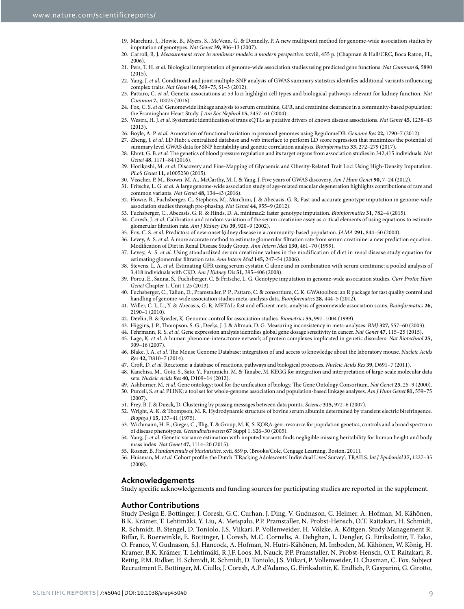- <span id="page-8-0"></span>19. Marchini, J., Howie, B., Myers, S., McVean, G. & Donnelly, P. A new multipoint method for genome-wide association studies by imputation of genotypes. *Nat Genet* **39,** 906–13 (2007).
- 20. Carroll, R. J. *Measurement error in nonlinear models*: *a modern perspective.* xxviii, 455 p. (Chapman & Hall/CRC, Boca Raton, FL, 2006).
- <span id="page-8-1"></span>21. Pers, T. H. *et al.* Biological interpretation of genome-wide association studies using predicted gene functions. *Nat Commun* **6,** 5890 (2015).
- <span id="page-8-2"></span>22. Yang, J. *et al.* Conditional and joint multiple-SNP analysis of GWAS summary statistics identifies additional variants influencing complex traits. *Nat Genet* **44,** 369–75, S1–3 (2012).
- <span id="page-8-3"></span>23. Pattaro, C. *et al.* Genetic associations at 53 loci highlight cell types and biological pathways relevant for kidney function. *Nat Commun* **7,** 10023 (2016).
- <span id="page-8-4"></span>24. Fox, C. S. *et al.* Genomewide linkage analysis to serum creatinine, GFR, and creatinine clearance in a community-based population: the Framingham Heart Study. *J Am Soc Nephrol* **15,** 2457–61 (2004).
- <span id="page-8-5"></span>25. Westra, H. J. *et al.* Systematic identification of trans eQTLs as putative drivers of known disease associations. *Nat Genet* **45,** 1238–43  $(2013)$
- 26. Boyle, A. P. *et al.* Annotation of functional variation in personal genomes using RegulomeDB. *Genome Res* **22,** 1790–7 (2012).
- <span id="page-8-6"></span>27. Zheng, J. *et al.* LD Hub: a centralized database and web interface to perform LD score regression that maximizes the potential of summary level GWAS data for SNP heritability and genetic correlation analysis. *Bioinformatics* **33,** 272–279 (2017).
- <span id="page-8-7"></span>28. Ehret, G. B. *et al.* The genetics of blood pressure regulation and its target organs from association studies in 342,415 individuals. *Nat Genet* **48,** 1171–84 (2016).
- <span id="page-8-8"></span>29. Horikoshi, M. *et al.* Discovery and Fine-Mapping of Glycaemic and Obesity-Related Trait Loci Using High-Density Imputation. *PLoS Genet* **11,** e1005230 (2015).
- <span id="page-8-9"></span>30. Visscher, P. M., Brown, M. A., McCarthy, M. I. & Yang, J. Five years of GWAS discovery. *Am J Hum Genet* **90,** 7–24 (2012).
- <span id="page-8-10"></span>31. Fritsche, L. G. *et al.* A large genome-wide association study of age-related macular degeneration highlights contributions of rare and common variants. *Nat Genet* **48,** 134–43 (2016). 32. Howie, B., Fuchsberger, C., Stephens, M., Marchini, J. & Abecasis, G. R. Fast and accurate genotype imputation in genome-wide
- <span id="page-8-11"></span>association studies through pre-phasing. *Nat Genet* **44,** 955–9 (2012).
- <span id="page-8-12"></span>33. Fuchsberger, C., Abecasis, G. R. & Hinds, D. A. minimac2: faster genotype imputation. *Bioinformatics* **31,** 782–4 (2015).
- 34. Coresh, J. *et al.* Calibration and random variation of the serum creatinine assay as critical elements of using equations to estimate glomerular filtration rate. *Am J Kidney Dis* **39,** 920–9 (2002).
- <span id="page-8-13"></span>35. Fox, C. S. *et al.* Predictors of new-onset kidney disease in a community-based population. *JAMA* **291,** 844–50 (2004).
- <span id="page-8-14"></span>36. Levey, A. S. *et al.* A more accurate method to estimate glomerular filtration rate from serum creatinine: a new prediction equation. Modification of Diet in Renal Disease Study Group. *Ann Intern Med* **130,** 461–70 (1999).
- <span id="page-8-15"></span>37. Levey, A. S. *et al.* Using standardized serum creatinine values in the modification of diet in renal disease study equation for estimating glomerular filtration rate. *Ann Intern Med* **145,** 247–54 (2006).
- <span id="page-8-16"></span>38. Stevens, L. A. *et al.* Estimating GFR using serum cystatin C alone and in combination with serum creatinine: a pooled analysis of 3,418 individuals with CKD. *Am J Kidney Dis* **51,** 395–406 (2008).
- <span id="page-8-17"></span>39. Porcu, E., Sanna, S., Fuchsberger, C. & Fritsche, L. G. Genotype imputation in genome-wide association studies. *Curr Protoc Hum Genet* Chapter 1, Unit 1 25 (2013).
- <span id="page-8-18"></span>40. Fuchsberger, C., Taliun, D., Pramstaller, P. P., Pattaro, C. & consortium, C. K. GWAtoolbox: an R package for fast quality control and handling of genome-wide association studies meta-analysis data. *Bioinformatics* **28,** 444–5 (2012).
- <span id="page-8-19"></span>41. Willer, C. J., Li, Y. & Abecasis, G. R. METAL: fast and efficient meta-analysis of genomewide association scans. *Bioinformatics* **26,** 2190–1 (2010).
- 42. Devlin, B. & Roeder, K. Genomic control for association studies. *Biometrics* **55,** 997–1004 (1999).
- <span id="page-8-20"></span>43. Higgins, J. P., Thompson, S. G., Deeks, J. J. & Altman, D. G. Measuring inconsistency in meta-analyses. *BMJ* **327,** 557–60 (2003).
- <span id="page-8-21"></span>44. Fehrmann, R. S. *et al.* Gene expression analysis identifies global gene dosage sensitivity in cancer. *Nat Genet* **47,** 115–25 (2015).
- <span id="page-8-22"></span>45. Lage, K. *et al.* A human phenome-interactome network of protein complexes implicated in genetic disorders. *Nat Biotechnol* **25,** 309–16 (2007).
- 46. Blake, J. A. *et al.* The Mouse Genome Database: integration of and access to knowledge about the laboratory mouse. *Nucleic Acids Res* **42,** D810–7 (2014).
- 47. Croft, D. *et al.* Reactome: a database of reactions, pathways and biological processes. *Nucleic Acids Res* **39,** D691–7 (2011).
- <span id="page-8-23"></span>48. Kanehisa, M., Goto, S., Sato, Y., Furumichi, M. & Tanabe, M. KEGG for integration and interpretation of large-scale molecular data sets. *Nucleic Acids Res* **40,** D109–14 (2012).
- 49. Ashburner, M. *et al.* Gene ontology: tool for the unification of biology. The Gene Ontology Consortium. *Nat Genet* **25,** 25–9 (2000).
- <span id="page-8-24"></span>50. Purcell, S. *et al.* PLINK: a tool set for whole-genome association and population-based linkage analyses. *Am J Hum Genet* **81,** 559–75  $(2007)$
- <span id="page-8-25"></span>51. Frey, B. J. & Dueck, D. Clustering by passing messages between data points. *Science* **315,** 972–6 (2007).
- <span id="page-8-26"></span>52. Wright, A. K. & Thompson, M. R. Hydrodynamic structure of bovine serum albumin determined by transient electric birefringence. *Biophys J* **15,** 137–41 (1975).
- <span id="page-8-27"></span>53. Wichmann, H. E., Gieger, C., Illig, T. & Group, M. K. S. KORA-gen–resource for population genetics, controls and a broad spectrum of disease phenotypes. *Gesundheitswesen* **67** Suppl 1, S26–30 (2005).
- <span id="page-8-28"></span>54. Yang, J. *et al.* Genetic variance estimation with imputed variants finds negligible missing heritability for human height and body mass index. *Nat Genet* **47,** 1114–20 (2015).
- <span id="page-8-29"></span>55. Rosner, B. *Fundamentals of biostatistics*. xvii, 859 p. (Brooks/Cole, Cengage Learning, Boston, 2011).
- <span id="page-8-30"></span>56. Huisman, M. *et al.* Cohort profile: the Dutch 'TRacking Adolescents' Individual Lives' Survey'; TRAILS. *Int J Epidemiol* **37,** 1227–35 (2008).

### **Acknowledgements**

Study specific acknowledgements and funding sources for participating studies are reported in the supplement.

### **Author Contributions**

Study Design E. Bottinger, J. Coresh, G.C. Curhan, J. Ding, V. Gudnason, C. Helmer, A. Hofman, M. Kähönen, B.K. Krämer, T. Lehtimäki, Y. Liu, A. Metspalu, P.P. Pramstaller, N. Probst-Hensch, O.T. Raitakari, H. Schmidt, R. Schmidt, B. Stengel, D. Toniolo, J.S. Viikari, P. Vollenweider, H. Völzke, A. Köttgen. Study Management R. Biffar, E. Boerwinkle, E. Bottinger, J. Coresh, M.C. Cornelis, A. Dehghan, L. Dengler, G. Eiriksdottir, T. Esko, O. Franco, V. Gudnason, S.J. Hancock, A. Hofman, N. Hutri-Kähönen, M. Imboden, M. Kähönen, W. König, H. Kramer, B.K. Krämer, T. Lehtimäki, R.J.F. Loos, M. Nauck, P.P. Pramstaller, N. Probst-Hensch, O.T. Raitakari, R. Rettig, P.M. Ridker, H. Schmidt, R. Schmidt, D. Toniolo, J.S. Viikari, P. Vollenweider, D. Chasman, C. Fox. Subject Recruitment E. Bottinger, M. Ciullo, J. Coresh, A.P. d'Adamo, G. Eiriksdottir, K. Endlich, P. Gasparini, G. Girotto,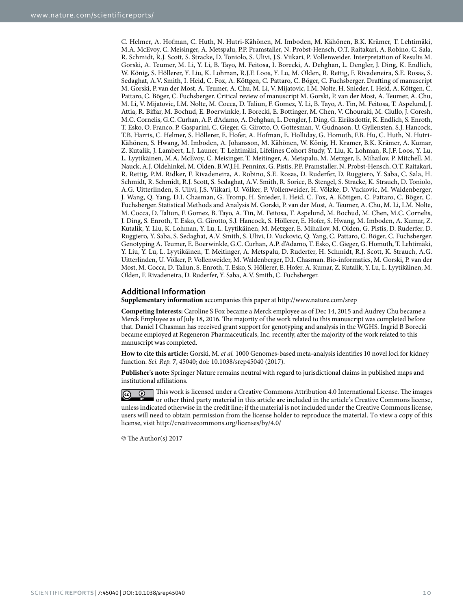C. Helmer, A. Hofman, C. Huth, N. Hutri-Kähönen, M. Imboden, M. Kähönen, B.K. Krämer, T. Lehtimäki, M.A. McEvoy, C. Meisinger, A. Metspalu, P.P. Pramstaller, N. Probst-Hensch, O.T. Raitakari, A. Robino, C. Sala, R. Schmidt, R.J. Scott, S. Stracke, D. Toniolo, S. Ulivi, J.S. Viikari, P. Vollenweider. Interpretation of Results M. Gorski, A. Teumer, M. Li, Y. Li, B. Tayo, M. Feitosa, I. Borecki, A. Dehghan, L. Dengler, J. Ding, K. Endlich, W. König, S. Höllerer, Y. Liu, K. Lohman, R.J.F. Loos, Y. Lu, M. Olden, R. Rettig, F. Rivadeneira, S.E. Rosas, S. Sedaghat, A.V. Smith, I. Heid, C. Fox, A. Köttgen, C. Pattaro, C. Böger, C. Fuchsberger. Drafting of manuscript M. Gorski, P. van der Most, A. Teumer, A. Chu, M. Li, V. Mijatovic, I.M. Nolte, H. Snieder, I. Heid, A. Köttgen, C. Pattaro, C. Böger, C. Fuchsberger. Critical review of manuscript M. Gorski, P. van der Most, A. Teumer, A. Chu, M. Li, V. Mijatovic, I.M. Nolte, M. Cocca, D. Taliun, F. Gomez, Y. Li, B. Tayo, A. Tin, M. Feitosa, T. Aspelund, J. Attia, R. Biffar, M. Bochud, E. Boerwinkle, I. Borecki, E. Bottinger, M. Chen, V. Chouraki, M. Ciullo, I. Coresh, M.C. Cornelis, G.C. Curhan, A.P. d'Adamo, A. Dehghan, L. Dengler, J. Ding, G. Eiriksdottir, K. Endlich, S. Enroth, T. Esko, O. Franco, P. Gasparini, C. Gieger, G. Girotto, O. Gottesman, V. Gudnason, U. Gyllensten, S.J. Hancock, T.B. Harris, C. Helmer, S. Höllerer, E. Hofer, A. Hofman, E. Holliday, G. Homuth, F.B. Hu, C. Huth, N. Hutri-Kähönen, S. Hwang, M. Imboden, A. Johansson, M. Kähönen, W. König, H. Kramer, B.K. Krämer, A. Kumar, Z. Kutalik, J. Lambert, L.J. Launer, T. Lehtimäki, Lifelines Cohort Study, Y. Liu, K. Lohman, R.J.F. Loos, Y. Lu, L. Lyytikäinen, M.A. McEvoy, C. Meisinger, T. Meitinger, A. Metspalu, M. Metzger, E. Mihailov, P. Mitchell, M. Nauck, A.J. Oldehinkel, M. Olden, B.W.J.H. Penninx, G. Pistis, P.P. Pramstaller, N. Probst-Hensch, O.T. Raitakari, R. Rettig, P.M. Ridker, F. Rivadeneira, A. Robino, S.E. Rosas, D. Ruderfer, D. Ruggiero, Y. Saba, C. Sala, H. Schmidt, R. Schmidt, R.J. Scott, S. Sedaghat, A.V. Smith, R. Sorice, B. Stengel, S. Stracke, K. Strauch, D. Toniolo, A.G. Uitterlinden, S. Ulivi, J.S. Viikari, U. Völker, P. Vollenweider, H. Völzke, D. Vuckovic, M. Waldenberger, J. Wang, Q. Yang, D.I. Chasman, G. Tromp, H. Snieder, I. Heid, C. Fox, A. Köttgen, C. Pattaro, C. Böger, C. Fuchsberger. Statistical Methods and Analysis M. Gorski, P. van der Most, A. Teumer, A. Chu, M. Li, I.M. Nolte, M. Cocca, D. Taliun, F. Gomez, B. Tayo, A. Tin, M. Feitosa, T. Aspelund, M. Bochud, M. Chen, M.C. Cornelis, J. Ding, S. Enroth, T. Esko, G. Girotto, S.J. Hancock, S. Höllerer, E. Hofer, S. Hwang, M. Imboden, A. Kumar, Z. Kutalik, Y. Liu, K. Lohman, Y. Lu, L. Lyytikäinen, M. Metzger, E. Mihailov, M. Olden, G. Pistis, D. Ruderfer, D. Ruggiero, Y. Saba, S. Sedaghat, A.V. Smith, S. Ulivi, D. Vuckovic, Q. Yang, C. Pattaro, C. Böger, C. Fuchsberger. Genotyping A. Teumer, E. Boerwinkle, G.C. Curhan, A.P. d'Adamo, T. Esko, C. Gieger, G. Homuth, T. Lehtimäki, Y. Liu, Y. Lu, L. Lyytikäinen, T. Meitinger, A. Metspalu, D. Ruderfer, H. Schmidt, R.J. Scott, K. Strauch, A.G. Uitterlinden, U. Völker, P. Vollenweider, M. Waldenberger, D.I. Chasman. Bio-informatics, M. Gorski, P. van der Most, M. Cocca, D. Taliun, S. Enroth, T. Esko, S. Höllerer, E. Hofer, A. Kumar, Z. Kutalik, Y. Lu, L. Lyytikäinen, M. Olden, F. Rivadeneira, D. Ruderfer, Y. Saba, A.V. Smith, C. Fuchsberger.

### **Additional Information**

**Supplementary information** accompanies this paper at <http://www.nature.com/srep>

**Competing Interests:** Caroline S Fox became a Merck employee as of Dec 14, 2015 and Audrey Chu became a Merck Employee as of July 18, 2016. The majority of the work related to this manuscript was completed before that. Daniel I Chasman has received grant support for genotyping and analysis in the WGHS. Ingrid B Borecki became employed at Regeneron Pharmaceuticals, Inc. recently, after the majority of the work related to this manuscript was completed.

**How to cite this article:** Gorski, M. *et al.* 1000 Genomes-based meta-analysis identifies 10 novel loci for kidney function. *Sci. Rep.* **7**, 45040; doi: 10.1038/srep45040 (2017).

**Publisher's note:** Springer Nature remains neutral with regard to jurisdictional claims in published maps and institutional affiliations.

This work is licensed under a Creative Commons Attribution 4.0 International License. The images or other third party material in this article are included in the article's Creative Commons license, unless indicated otherwise in the credit line; if the material is not included under the Creative Commons license, users will need to obtain permission from the license holder to reproduce the material. To view a copy of this license, visit <http://creativecommons.org/licenses/by/4.0/>

© The Author(s) 2017